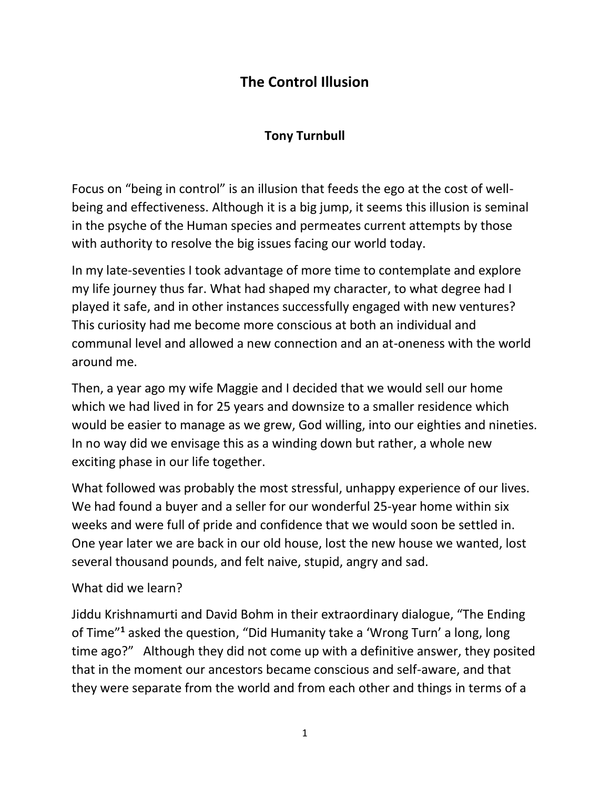## **The Control Illusion**

## **Tony Turnbull**

Focus on "being in control" is an illusion that feeds the ego at the cost of wellbeing and effectiveness. Although it is a big jump, it seems this illusion is seminal in the psyche of the Human species and permeates current attempts by those with authority to resolve the big issues facing our world today.

In my late-seventies I took advantage of more time to contemplate and explore my life journey thus far. What had shaped my character, to what degree had I played it safe, and in other instances successfully engaged with new ventures? This curiosity had me become more conscious at both an individual and communal level and allowed a new connection and an at-oneness with the world around me.

Then, a year ago my wife Maggie and I decided that we would sell our home which we had lived in for 25 years and downsize to a smaller residence which would be easier to manage as we grew, God willing, into our eighties and nineties. In no way did we envisage this as a winding down but rather, a whole new exciting phase in our life together.

What followed was probably the most stressful, unhappy experience of our lives. We had found a buyer and a seller for our wonderful 25-year home within six weeks and were full of pride and confidence that we would soon be settled in. One year later we are back in our old house, lost the new house we wanted, lost several thousand pounds, and felt naive, stupid, angry and sad.

## What did we learn?

Jiddu Krishnamurti and David Bohm in their extraordinary dialogue, "The Ending of Time"**<sup>1</sup>** asked the question, "Did Humanity take a 'Wrong Turn' a long, long time ago?" Although they did not come up with a definitive answer, they posited that in the moment our ancestors became conscious and self-aware, and that they were separate from the world and from each other and things in terms of a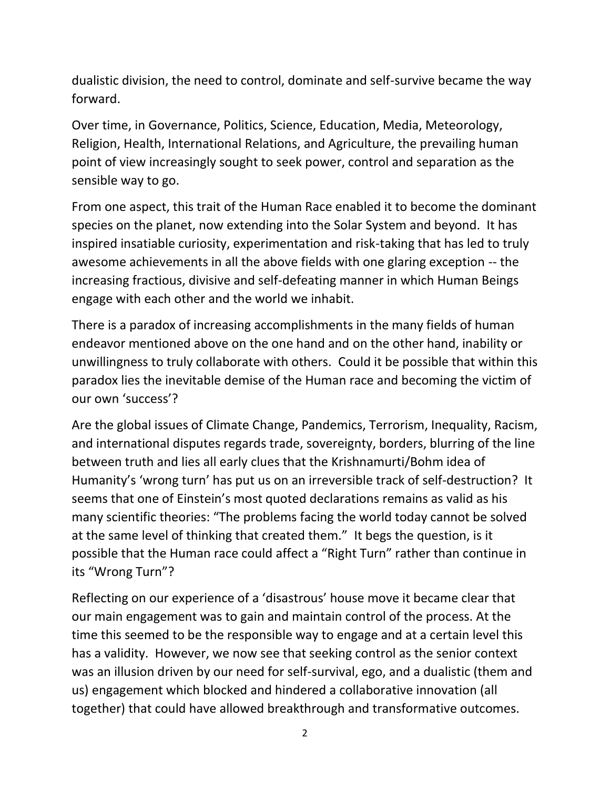dualistic division, the need to control, dominate and self-survive became the way forward.

Over time, in Governance, Politics, Science, Education, Media, Meteorology, Religion, Health, International Relations, and Agriculture, the prevailing human point of view increasingly sought to seek power, control and separation as the sensible way to go.

From one aspect, this trait of the Human Race enabled it to become the dominant species on the planet, now extending into the Solar System and beyond. It has inspired insatiable curiosity, experimentation and risk-taking that has led to truly awesome achievements in all the above fields with one glaring exception -- the increasing fractious, divisive and self-defeating manner in which Human Beings engage with each other and the world we inhabit.

There is a paradox of increasing accomplishments in the many fields of human endeavor mentioned above on the one hand and on the other hand, inability or unwillingness to truly collaborate with others. Could it be possible that within this paradox lies the inevitable demise of the Human race and becoming the victim of our own 'success'?

Are the global issues of Climate Change, Pandemics, Terrorism, Inequality, Racism, and international disputes regards trade, sovereignty, borders, blurring of the line between truth and lies all early clues that the Krishnamurti/Bohm idea of Humanity's 'wrong turn' has put us on an irreversible track of self-destruction? It seems that one of Einstein's most quoted declarations remains as valid as his many scientific theories: "The problems facing the world today cannot be solved at the same level of thinking that created them." It begs the question, is it possible that the Human race could affect a "Right Turn" rather than continue in its "Wrong Turn"?

Reflecting on our experience of a 'disastrous' house move it became clear that our main engagement was to gain and maintain control of the process. At the time this seemed to be the responsible way to engage and at a certain level this has a validity. However, we now see that seeking control as the senior context was an illusion driven by our need for self-survival, ego, and a dualistic (them and us) engagement which blocked and hindered a collaborative innovation (all together) that could have allowed breakthrough and transformative outcomes.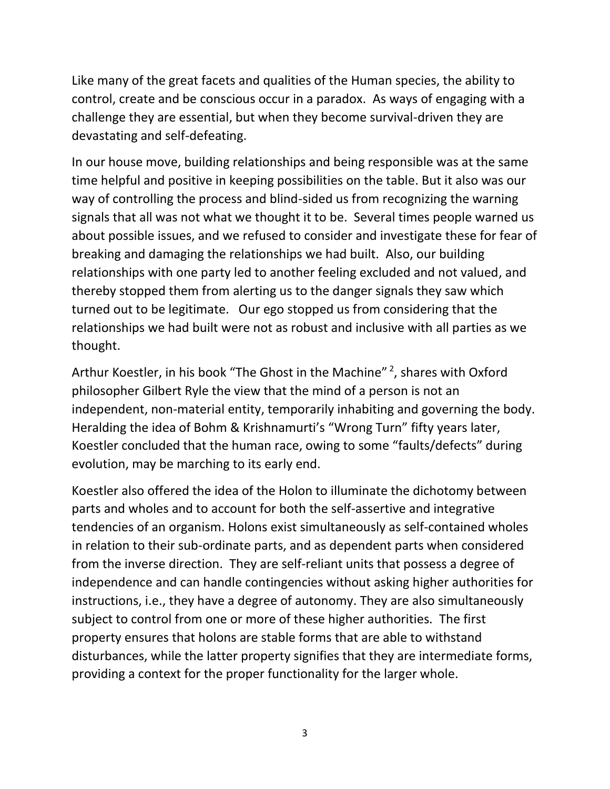Like many of the great facets and qualities of the Human species, the ability to control, create and be conscious occur in a paradox. As ways of engaging with a challenge they are essential, but when they become survival-driven they are devastating and self-defeating.

In our house move, building relationships and being responsible was at the same time helpful and positive in keeping possibilities on the table. But it also was our way of controlling the process and blind-sided us from recognizing the warning signals that all was not what we thought it to be. Several times people warned us about possible issues, and we refused to consider and investigate these for fear of breaking and damaging the relationships we had built. Also, our building relationships with one party led to another feeling excluded and not valued, and thereby stopped them from alerting us to the danger signals they saw which turned out to be legitimate. Our ego stopped us from considering that the relationships we had built were not as robust and inclusive with all parties as we thought.

Arthur Koestler, in his book "The Ghost in the Machine" <sup>2</sup>, shares with Oxford philosopher Gilbert Ryle the view that the mind of a person is not an independent, non-material entity, temporarily inhabiting and governing the body. Heralding the idea of Bohm & Krishnamurti's "Wrong Turn" fifty years later, Koestler concluded that the human race, owing to some "faults/defects" during evolution, may be marching to its early end.

Koestler also offered the idea of the Holon to illuminate the dichotomy between parts and wholes and to account for both the self-assertive and integrative tendencies of an organism. Holons exist simultaneously as self-contained wholes in relation to their sub-ordinate parts, and as dependent parts when considered from the inverse direction. They are self-reliant units that possess a degree of independence and can handle contingencies without asking higher authorities for instructions, i.e., they have a degree of autonomy. They are also simultaneously subject to control from one or more of these higher authorities. The first property ensures that holons are stable forms that are able to withstand disturbances, while the latter property signifies that they are intermediate forms, providing a context for the proper functionality for the larger whole.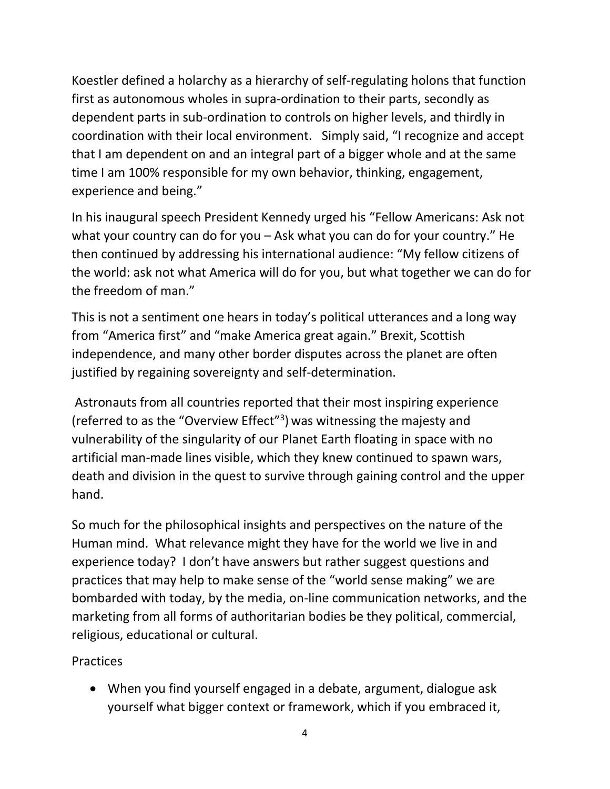Koestler defined a holarchy as a hierarchy of self-regulating holons that function first as autonomous wholes in supra-ordination to their parts, secondly as dependent parts in sub-ordination to controls on higher levels, and thirdly in coordination with their local environment. Simply said, "I recognize and accept that I am dependent on and an integral part of a bigger whole and at the same time I am 100% responsible for my own behavior, thinking, engagement, experience and being."

In his inaugural speech President Kennedy urged his "Fellow Americans: Ask not what your country can do for you – Ask what you can do for your country." He then continued by addressing his international audience: "My fellow citizens of the world: ask not what America will do for you, but what together we can do for the freedom of man."

This is not a sentiment one hears in today's political utterances and a long way from "America first" and "make America great again." Brexit, Scottish independence, and many other border disputes across the planet are often justified by regaining sovereignty and self-determination.

Astronauts from all countries reported that their most inspiring experience (referred to as the "Overview Effect"<sup>3</sup>) was witnessing the majesty and vulnerability of the singularity of our Planet Earth floating in space with no artificial man-made lines visible, which they knew continued to spawn wars, death and division in the quest to survive through gaining control and the upper hand.

So much for the philosophical insights and perspectives on the nature of the Human mind. What relevance might they have for the world we live in and experience today? I don't have answers but rather suggest questions and practices that may help to make sense of the "world sense making" we are bombarded with today, by the media, on-line communication networks, and the marketing from all forms of authoritarian bodies be they political, commercial, religious, educational or cultural.

**Practices** 

• When you find yourself engaged in a debate, argument, dialogue ask yourself what bigger context or framework, which if you embraced it,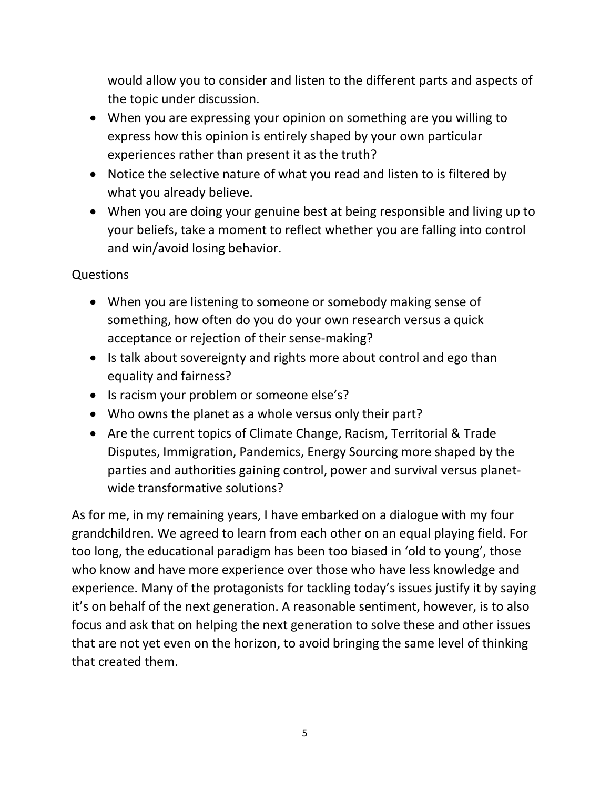would allow you to consider and listen to the different parts and aspects of the topic under discussion.

- When you are expressing your opinion on something are you willing to express how this opinion is entirely shaped by your own particular experiences rather than present it as the truth?
- Notice the selective nature of what you read and listen to is filtered by what you already believe.
- When you are doing your genuine best at being responsible and living up to your beliefs, take a moment to reflect whether you are falling into control and win/avoid losing behavior.

## Questions

- When you are listening to someone or somebody making sense of something, how often do you do your own research versus a quick acceptance or rejection of their sense-making?
- Is talk about sovereignty and rights more about control and ego than equality and fairness?
- Is racism your problem or someone else's?
- Who owns the planet as a whole versus only their part?
- Are the current topics of Climate Change, Racism, Territorial & Trade Disputes, Immigration, Pandemics, Energy Sourcing more shaped by the parties and authorities gaining control, power and survival versus planetwide transformative solutions?

As for me, in my remaining years, I have embarked on a dialogue with my four grandchildren. We agreed to learn from each other on an equal playing field. For too long, the educational paradigm has been too biased in 'old to young', those who know and have more experience over those who have less knowledge and experience. Many of the protagonists for tackling today's issues justify it by saying it's on behalf of the next generation. A reasonable sentiment, however, is to also focus and ask that on helping the next generation to solve these and other issues that are not yet even on the horizon, to avoid bringing the same level of thinking that created them.